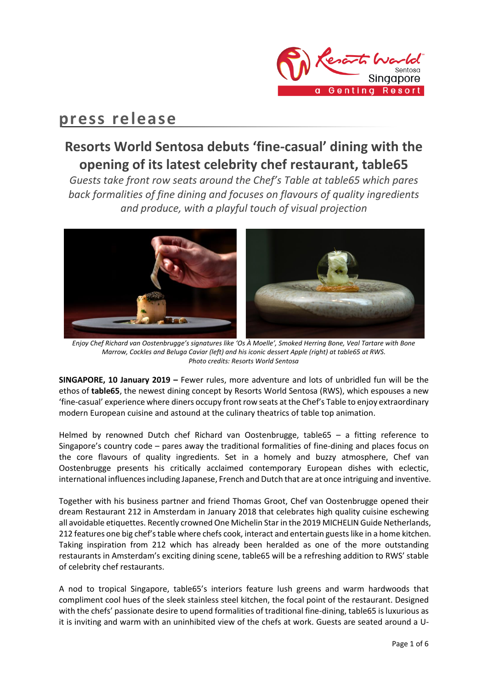

# **press release**

## **Resorts World Sentosa debuts 'fine-casual' dining with the opening of its latest celebrity chef restaurant, table65**

*Guests take front row seats around the Chef's Table at table65 which pares back formalities of fine dining and focuses on flavours of quality ingredients and produce, with a playful touch of visual projection*



*Enjoy Chef Richard van Oostenbrugge's signatures like 'Os À Moelle', Smoked Herring Bone, Veal Tartare with Bone Marrow, Cockles and Beluga Caviar (left) and his iconic dessert Apple (right) at table65 at RWS. Photo credits: Resorts World Sentosa* 

**SINGAPORE, 10 January 2019 –** Fewer rules, more adventure and lots of unbridled fun will be the ethos of **table65**, the newest dining concept by Resorts World Sentosa (RWS), which espouses a new 'fine-casual' experience where diners occupy front row seats at the Chef's Table to enjoy extraordinary modern European cuisine and astound at the culinary theatrics of table top animation.

Helmed by renowned Dutch chef Richard van Oostenbrugge, table65 – a fitting reference to Singapore's country code – pares away the traditional formalities of fine-dining and places focus on the core flavours of quality ingredients. Set in a homely and buzzy atmosphere, Chef van Oostenbrugge presents his critically acclaimed contemporary European dishes with eclectic, international influences including Japanese, French and Dutch that are at once intriguing and inventive.

Together with his business partner and friend Thomas Groot, Chef van Oostenbrugge opened their dream Restaurant 212 in Amsterdam in January 2018 that celebrates high quality cuisine eschewing all avoidable etiquettes. Recently crowned One Michelin Star in the 2019 MICHELIN Guide Netherlands, 212 features one big chef's table where chefs cook, interact and entertain guests like in a home kitchen. Taking inspiration from 212 which has already been heralded as one of the more outstanding restaurants in Amsterdam's exciting dining scene, table65 will be a refreshing addition to RWS' stable of celebrity chef restaurants.

A nod to tropical Singapore, table65's interiors feature lush greens and warm hardwoods that compliment cool hues of the sleek stainless steel kitchen, the focal point of the restaurant. Designed with the chefs' passionate desire to upend formalities of traditional fine-dining, table65 is luxurious as it is inviting and warm with an uninhibited view of the chefs at work. Guests are seated around a U-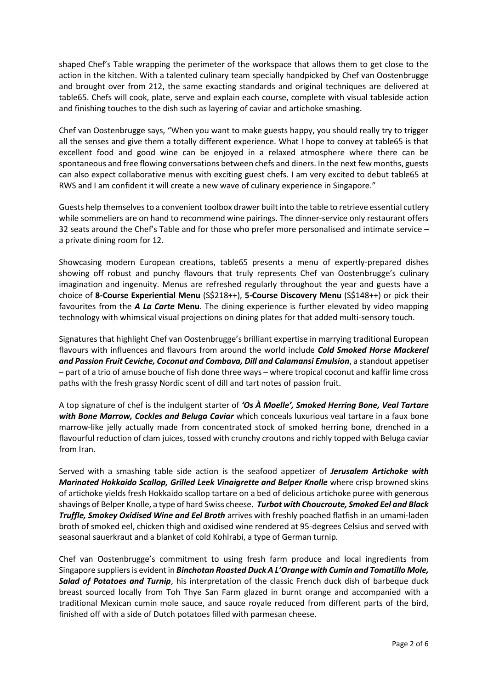shaped Chef's Table wrapping the perimeter of the workspace that allows them to get close to the action in the kitchen. With a talented culinary team specially handpicked by Chef van Oostenbrugge and brought over from 212, the same exacting standards and original techniques are delivered at table65. Chefs will cook, plate, serve and explain each course, complete with visual tableside action and finishing touches to the dish such as layering of caviar and artichoke smashing.

Chef van Oostenbrugge says, "When you want to make guests happy, you should really try to trigger all the senses and give them a totally different experience. What I hope to convey at table65 is that excellent food and good wine can be enjoyed in a relaxed atmosphere where there can be spontaneous and free flowing conversations between chefs and diners. In the next few months, guests can also expect collaborative menus with exciting guest chefs. I am very excited to debut table65 at RWS and I am confident it will create a new wave of culinary experience in Singapore."

Guests help themselves to a convenient toolbox drawer built into the table to retrieve essential cutlery while sommeliers are on hand to recommend wine pairings. The dinner-service only restaurant offers 32 seats around the Chef's Table and for those who prefer more personalised and intimate service – a private dining room for 12.

Showcasing modern European creations, table65 presents a menu of expertly-prepared dishes showing off robust and punchy flavours that truly represents Chef van Oostenbrugge's culinary imagination and ingenuity. Menus are refreshed regularly throughout the year and guests have a choice of **8-Course Experiential Menu** (S\$218++), **5-Course Discovery Menu** (S\$148++) or pick their favourites from the *A La Carte* **Menu**. The dining experience is further elevated by video mapping technology with whimsical visual projections on dining plates for that added multi-sensory touch.

Signatures that highlight Chef van Oostenbrugge's brilliant expertise in marrying traditional European flavours with influences and flavours from around the world include *Cold Smoked Horse Mackerel and Passion Fruit Ceviche, Coconut and Combava, Dill and Calamansi Emulsion*, a standout appetiser – part of a trio of amuse bouche of fish done three ways – where tropical coconut and kaffir lime cross paths with the fresh grassy Nordic scent of dill and tart notes of passion fruit.

A top signature of chef is the indulgent starter of *'Os À Moelle', Smoked Herring Bone, Veal Tartare with Bone Marrow, Cockles and Beluga Caviar* which conceals luxurious veal tartare in a faux bone marrow-like jelly actually made from concentrated stock of smoked herring bone, drenched in a flavourful reduction of clam juices, tossed with crunchy croutons and richly topped with Beluga caviar from Iran.

Served with a smashing table side action is the seafood appetizer of *Jerusalem Artichoke with Marinated Hokkaido Scallop, Grilled Leek Vinaigrette and Belper Knolle where crisp browned skins* of artichoke yields fresh Hokkaido scallop tartare on a bed of delicious artichoke puree with generous shavings of Belper Knolle, a type of hard Swiss cheese. *Turbot with Choucroute, Smoked Eel and Black Truffle, Smokey Oxidised Wine and Eel Broth* arrives with freshly poached flatfish in an umami-laden broth of smoked eel, chicken thigh and oxidised wine rendered at 95-degrees Celsius and served with seasonal sauerkraut and a blanket of cold Kohlrabi, a type of German turnip*.*

Chef van Oostenbrugge's commitment to using fresh farm produce and local ingredients from Singapore suppliers is evident in *Binchotan Roasted Duck A L'Orange with Cumin and Tomatillo Mole*, *Salad of Potatoes and Turnip*, his interpretation of the classic French duck dish of barbeque duck breast sourced locally from Toh Thye San Farm glazed in burnt orange and accompanied with a traditional Mexican cumin mole sauce, and sauce royale reduced from different parts of the bird, finished off with a side of Dutch potatoes filled with parmesan cheese.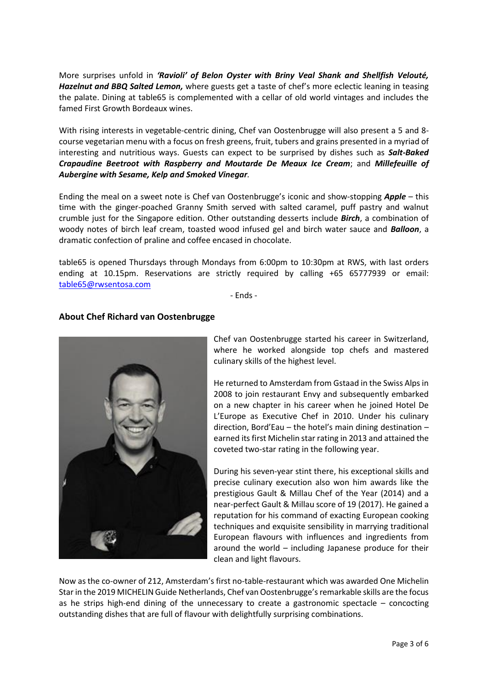More surprises unfold in *'Ravioli' of Belon Oyster with Briny Veal Shank and Shellfish Velouté, Hazelnut and BBQ Salted Lemon,* where guests get a taste of chef's more eclectic leaning in teasing the palate. Dining at table65 is complemented with a cellar of old world vintages and includes the famed First Growth Bordeaux wines.

With rising interests in vegetable-centric dining, Chef van Oostenbrugge will also present a 5 and 8 course vegetarian menu with a focus on fresh greens, fruit, tubers and grains presented in a myriad of interesting and nutritious ways. Guests can expect to be surprised by dishes such as *Salt-Baked Crapaudine Beetroot with Raspberry and Moutarde De Meaux Ice Cream*; and *Millefeuille of Aubergine with Sesame, Kelp and Smoked Vinegar.* 

Ending the meal on a sweet note is Chef van Oostenbrugge's iconic and show-stopping *Apple* – this time with the ginger-poached Granny Smith served with salted caramel, puff pastry and walnut crumble just for the Singapore edition. Other outstanding desserts include *Birch*, a combination of woody notes of birch leaf cream, toasted wood infused gel and birch water sauce and *Balloon*, a dramatic confection of praline and coffee encased in chocolate.

table65 is opened Thursdays through Mondays from 6:00pm to 10:30pm at RWS, with last orders ending at 10.15pm. Reservations are strictly required by calling +65 65777939 or email: [table65@rwsentosa.com](mailto:table65@rwsentosa.com)

- Ends -



### **About Chef Richard van Oostenbrugge**

Chef van Oostenbrugge started his career in Switzerland, where he worked alongside top chefs and mastered culinary skills of the highest level.

He returned to Amsterdam from Gstaad in the Swiss Alps in 2008 to join restaurant Envy and subsequently embarked on a new chapter in his career when he joined Hotel De L'Europe as Executive Chef in 2010. Under his culinary direction, Bord'Eau – the hotel's main dining destination – earned its first Michelin star rating in 2013 and attained the coveted two-star rating in the following year.

During his seven-year stint there, his exceptional skills and precise culinary execution also won him awards like the prestigious Gault & Millau Chef of the Year (2014) and a near-perfect Gault & Millau score of 19 (2017). He gained a reputation for his command of exacting European cooking techniques and exquisite sensibility in marrying traditional European flavours with influences and ingredients from around the world – including Japanese produce for their clean and light flavours.

Now as the co-owner of 212, Amsterdam's first no-table-restaurant which was awarded One Michelin Star in the 2019 MICHELIN Guide Netherlands, Chef van Oostenbrugge's remarkable skills are the focus as he strips high-end dining of the unnecessary to create a gastronomic spectacle – concocting outstanding dishes that are full of flavour with delightfully surprising combinations.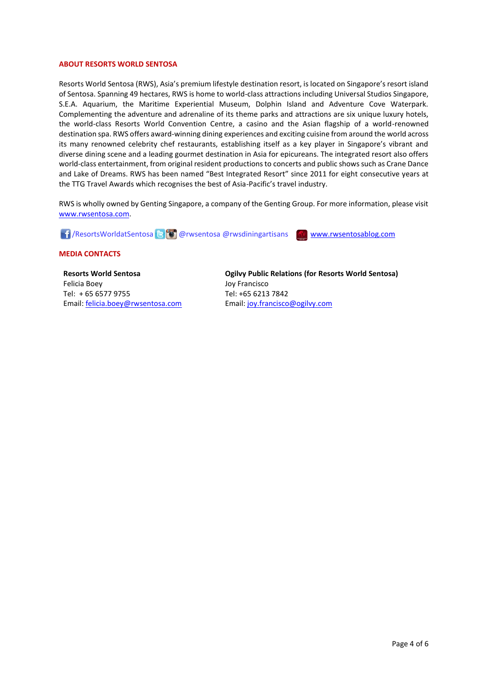#### **ABOUT RESORTS WORLD SENTOSA**

Resorts World Sentosa (RWS), Asia's premium lifestyle destination resort, is located on Singapore's resort island of Sentosa. Spanning 49 hectares, RWS is home to world-class attractions including Universal Studios Singapore, S.E.A. Aquarium, the Maritime Experiential Museum, Dolphin Island and Adventure Cove Waterpark. Complementing the adventure and adrenaline of its theme parks and attractions are six unique luxury hotels, the world-class Resorts World Convention Centre, a casino and the Asian flagship of a world-renowned destination spa. RWS offers award-winning dining experiences and exciting cuisine from around the world across its many renowned celebrity chef restaurants, establishing itself as a key player in Singapore's vibrant and diverse dining scene and a leading gourmet destination in Asia for epicureans. The integrated resort also offers world-class entertainment, from original resident productions to concerts and public shows such as Crane Dance and Lake of Dreams. RWS has been named "Best Integrated Resort" since 2011 for eight consecutive years at the TTG Travel Awards which recognises the best of Asia-Pacific's travel industry.

RWS is wholly owned by Genting Singapore, a company of the Genting Group. For more information, please visit [www.rwsentosa.com.](http://www.rwsentosa.com/)

1 / ResortsWorldatSentosa **@** @ @ rwsentosa @ rwsdiningartisans [www.rwsentosablog.com](http://www.rwsentosablog.com/)

#### **MEDIA CONTACTS**

**Resorts World Sentosa** Felicia Boey Tel: + 65 6577 9755 Email[: felicia.boey@rwsentosa.com](mailto:felicia.boey@rwsentosa.com) **Ogilvy Public Relations (for Resorts World Sentosa)** Joy Francisco Tel: +65 6213 7842 Email: [joy.francisco@ogilvy.com](mailto:joy.francisco@ogilvy.com)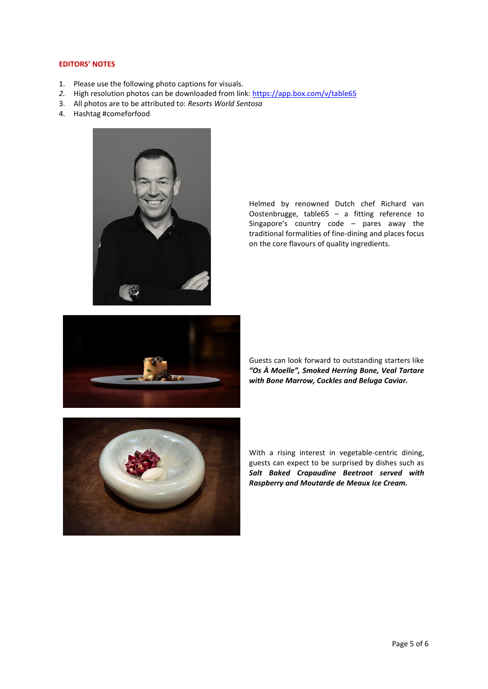#### **EDITORS' NOTES**

- 1. Please use the following photo captions for visuals.
- 2. High resolution photos can be downloaded from link: <https://app.box.com/v/table65>
- 3. All photos are to be attributed to: *Resorts World Sentosa*
- 4. Hashtag #comeforfood



Helmed by renowned Dutch chef Richard van Oostenbrugge, table65 – a fitting reference to Singapore's country code – pares away the traditional formalities of fine-dining and places focus on the core flavours of quality ingredients.



Guests can look forward to outstanding starters like *"Os À Moelle", Smoked Herring Bone, Veal Tartare with Bone Marrow, Cockles and Beluga Caviar.* 



With a rising interest in vegetable-centric dining, guests can expect to be surprised by dishes such as *Salt Baked Crapaudine Beetroot served with Raspberry and Moutarde de Meaux Ice Cream.*